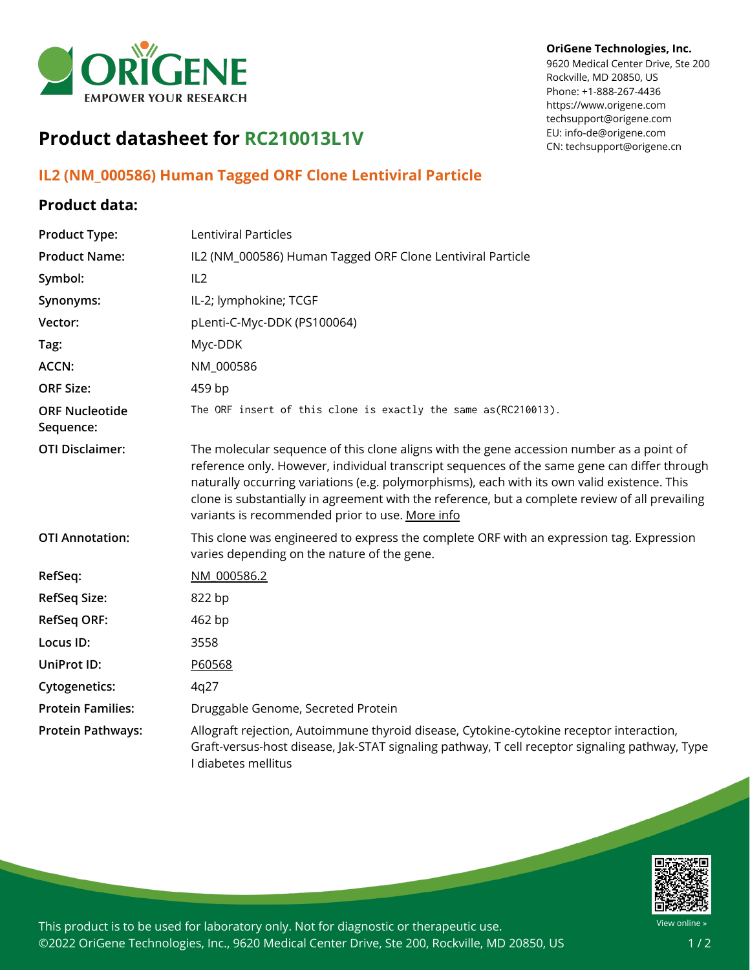

## **Product datasheet for RC210013L1V**

## **IL2 (NM\_000586) Human Tagged ORF Clone Lentiviral Particle**

## **Product data:**

| <b>Product Type:</b>               | <b>Lentiviral Particles</b>                                                                                                                                                                                                                                                                                                                                                                                                                    |
|------------------------------------|------------------------------------------------------------------------------------------------------------------------------------------------------------------------------------------------------------------------------------------------------------------------------------------------------------------------------------------------------------------------------------------------------------------------------------------------|
| <b>Product Name:</b>               | IL2 (NM_000586) Human Tagged ORF Clone Lentiviral Particle                                                                                                                                                                                                                                                                                                                                                                                     |
| Symbol:                            | IL2                                                                                                                                                                                                                                                                                                                                                                                                                                            |
| Synonyms:                          | IL-2; lymphokine; TCGF                                                                                                                                                                                                                                                                                                                                                                                                                         |
| Vector:                            | pLenti-C-Myc-DDK (PS100064)                                                                                                                                                                                                                                                                                                                                                                                                                    |
| Tag:                               | Myc-DDK                                                                                                                                                                                                                                                                                                                                                                                                                                        |
| <b>ACCN:</b>                       | NM_000586                                                                                                                                                                                                                                                                                                                                                                                                                                      |
| <b>ORF Size:</b>                   | 459 bp                                                                                                                                                                                                                                                                                                                                                                                                                                         |
| <b>ORF Nucleotide</b><br>Sequence: | The ORF insert of this clone is exactly the same as(RC210013).                                                                                                                                                                                                                                                                                                                                                                                 |
| <b>OTI Disclaimer:</b>             | The molecular sequence of this clone aligns with the gene accession number as a point of<br>reference only. However, individual transcript sequences of the same gene can differ through<br>naturally occurring variations (e.g. polymorphisms), each with its own valid existence. This<br>clone is substantially in agreement with the reference, but a complete review of all prevailing<br>variants is recommended prior to use. More info |
| <b>OTI Annotation:</b>             | This clone was engineered to express the complete ORF with an expression tag. Expression<br>varies depending on the nature of the gene.                                                                                                                                                                                                                                                                                                        |
| RefSeq:                            | NM 000586.2                                                                                                                                                                                                                                                                                                                                                                                                                                    |
| <b>RefSeq Size:</b>                | 822 bp                                                                                                                                                                                                                                                                                                                                                                                                                                         |
| <b>RefSeq ORF:</b>                 | 462 bp                                                                                                                                                                                                                                                                                                                                                                                                                                         |
| Locus ID:                          | 3558                                                                                                                                                                                                                                                                                                                                                                                                                                           |
| UniProt ID:                        | P60568                                                                                                                                                                                                                                                                                                                                                                                                                                         |
| <b>Cytogenetics:</b>               | 4q27                                                                                                                                                                                                                                                                                                                                                                                                                                           |
| <b>Protein Families:</b>           | Druggable Genome, Secreted Protein                                                                                                                                                                                                                                                                                                                                                                                                             |
| <b>Protein Pathways:</b>           | Allograft rejection, Autoimmune thyroid disease, Cytokine-cytokine receptor interaction,<br>Graft-versus-host disease, Jak-STAT signaling pathway, T cell receptor signaling pathway, Type<br>I diabetes mellitus                                                                                                                                                                                                                              |



This product is to be used for laboratory only. Not for diagnostic or therapeutic use. ©2022 OriGene Technologies, Inc., 9620 Medical Center Drive, Ste 200, Rockville, MD 20850, US

## **OriGene Technologies, Inc.**

9620 Medical Center Drive, Ste 200 Rockville, MD 20850, US Phone: +1-888-267-4436 https://www.origene.com techsupport@origene.com EU: info-de@origene.com CN: techsupport@origene.cn